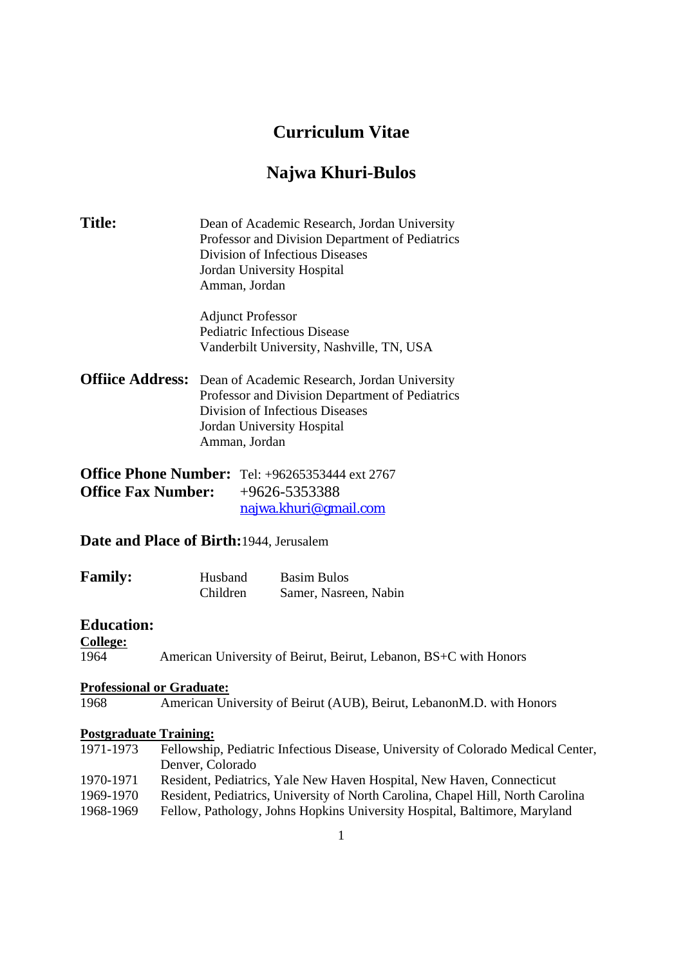# **Curriculum Vitae**

# **Najwa Khuri-Bulos**

| <b>Title:</b>                                           | Dean of Academic Research, Jordan University<br>Professor and Division Department of Pediatrics<br>Division of Infectious Diseases<br>Jordan University Hospital<br>Amman, Jordan                         |
|---------------------------------------------------------|-----------------------------------------------------------------------------------------------------------------------------------------------------------------------------------------------------------|
|                                                         | <b>Adjunct Professor</b><br><b>Pediatric Infectious Disease</b><br>Vanderbilt University, Nashville, TN, USA                                                                                              |
|                                                         | <b>Offiice Address:</b> Dean of Academic Research, Jordan University<br>Professor and Division Department of Pediatrics<br>Division of Infectious Diseases<br>Jordan University Hospital<br>Amman, Jordan |
| <b>Office Fax Number:</b>                               | <b>Office Phone Number:</b> Tel: +96265353444 ext 2767<br>$+9626 - 5353388$<br>najwa.khuri@gmail.com                                                                                                      |
|                                                         | Date and Place of Birth: 1944, Jerusalem                                                                                                                                                                  |
| <b>Family:</b>                                          | Husband<br><b>Basim Bulos</b><br>Children<br>Samer, Nasreen, Nabin                                                                                                                                        |
| <b>Education:</b><br><b>College:</b><br>1964            | American University of Beirut, Beirut, Lebanon, BS+C with Honors                                                                                                                                          |
| 1968                                                    | <b>Professional or Graduate:</b><br>American University of Beirut (AUB), Beirut, LebanonM.D. with Honors                                                                                                  |
| <b>Postgraduate Training:</b><br>1971-1973<br>1970-1971 | Fellowship, Pediatric Infectious Disease, University of Colorado Medical Center,<br>Denver, Colorado<br>Resident, Pediatrics, Yale New Haven Hospital, New Haven, Connecticut                             |
| 1969-1970<br>1968-1969                                  | Resident, Pediatrics, University of North Carolina, Chapel Hill, North Carolina<br>Fellow, Pathology, Johns Hopkins University Hospital, Baltimore, Maryland                                              |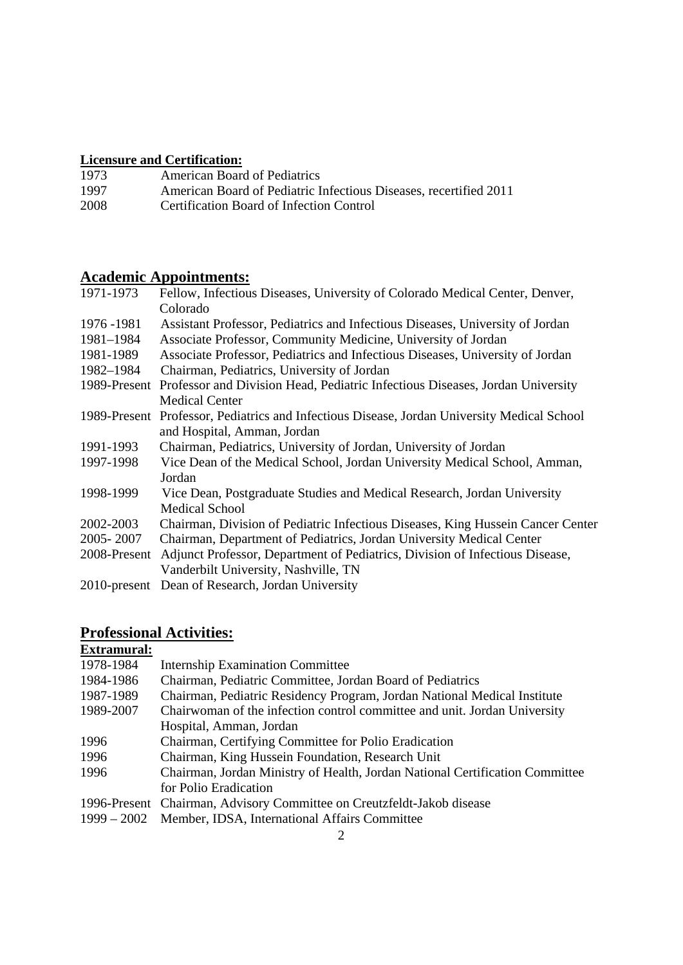## **Licensure and Certification:**

| 1973 | <b>American Board of Pediatrics</b>                               |
|------|-------------------------------------------------------------------|
| 1997 | American Board of Pediatric Infectious Diseases, recertified 2011 |
| 2008 | Certification Board of Infection Control                          |

## **Academic Appointments:**

| 1971-1973    | Fellow, Infectious Diseases, University of Colorado Medical Center, Denver,                 |
|--------------|---------------------------------------------------------------------------------------------|
|              | Colorado                                                                                    |
| 1976 - 1981  | Assistant Professor, Pediatrics and Infectious Diseases, University of Jordan               |
| 1981-1984    | Associate Professor, Community Medicine, University of Jordan                               |
| 1981-1989    | Associate Professor, Pediatrics and Infectious Diseases, University of Jordan               |
| 1982-1984    | Chairman, Pediatrics, University of Jordan                                                  |
|              | 1989-Present Professor and Division Head, Pediatric Infectious Diseases, Jordan University  |
|              | <b>Medical Center</b>                                                                       |
|              | 1989-Present Professor, Pediatrics and Infectious Disease, Jordan University Medical School |
|              | and Hospital, Amman, Jordan                                                                 |
| 1991-1993    | Chairman, Pediatrics, University of Jordan, University of Jordan                            |
| 1997-1998    | Vice Dean of the Medical School, Jordan University Medical School, Amman,                   |
|              | Jordan                                                                                      |
| 1998-1999    | Vice Dean, Postgraduate Studies and Medical Research, Jordan University                     |
|              | <b>Medical School</b>                                                                       |
| 2002-2003    | Chairman, Division of Pediatric Infectious Diseases, King Hussein Cancer Center             |
| 2005-2007    | Chairman, Department of Pediatrics, Jordan University Medical Center                        |
| 2008-Present | Adjunct Professor, Department of Pediatrics, Division of Infectious Disease,                |
|              | Vanderbilt University, Nashville, TN                                                        |
|              | 2010-present Dean of Research, Jordan University                                            |

## **Professional Activities:**

| <b>Internship Examination Committee</b>                                      |
|------------------------------------------------------------------------------|
| Chairman, Pediatric Committee, Jordan Board of Pediatrics                    |
| Chairman, Pediatric Residency Program, Jordan National Medical Institute     |
| Chairwoman of the infection control committee and unit. Jordan University    |
| Hospital, Amman, Jordan                                                      |
| Chairman, Certifying Committee for Polio Eradication                         |
| Chairman, King Hussein Foundation, Research Unit                             |
| Chairman, Jordan Ministry of Health, Jordan National Certification Committee |
| for Polio Eradication                                                        |
| 1996-Present Chairman, Advisory Committee on Creutzfeldt-Jakob disease       |
| 1999 – 2002 Member, IDSA, International Affairs Committee                    |
|                                                                              |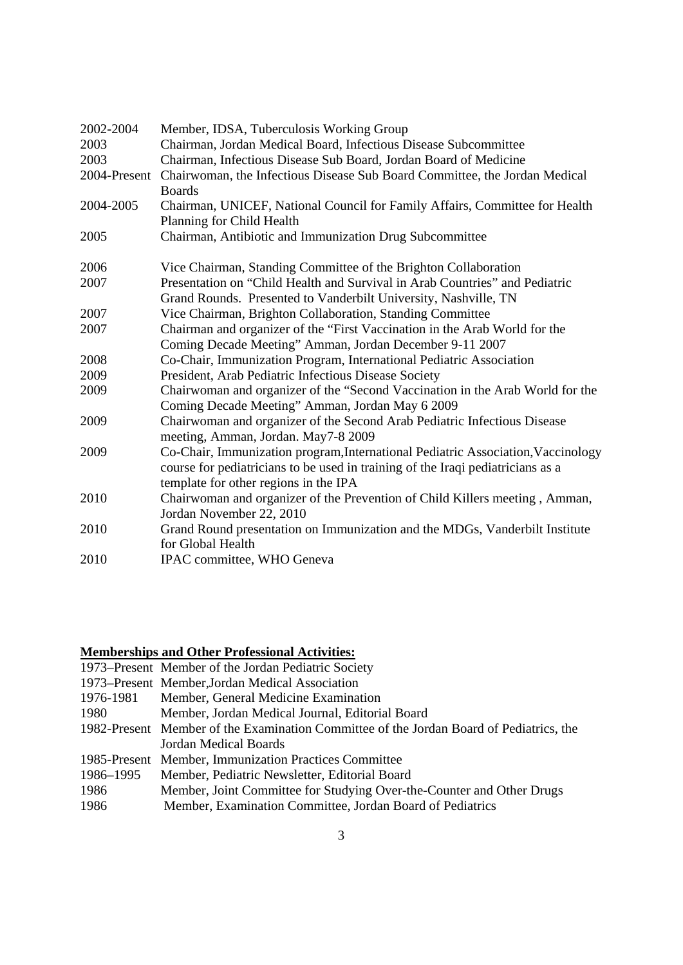| 2002-2004 | Member, IDSA, Tuberculosis Working Group                                                                                                                                                                     |
|-----------|--------------------------------------------------------------------------------------------------------------------------------------------------------------------------------------------------------------|
| 2003      | Chairman, Jordan Medical Board, Infectious Disease Subcommittee                                                                                                                                              |
| 2003      | Chairman, Infectious Disease Sub Board, Jordan Board of Medicine                                                                                                                                             |
|           | 2004-Present Chairwoman, the Infectious Disease Sub Board Committee, the Jordan Medical<br><b>Boards</b>                                                                                                     |
| 2004-2005 | Chairman, UNICEF, National Council for Family Affairs, Committee for Health<br>Planning for Child Health                                                                                                     |
| 2005      | Chairman, Antibiotic and Immunization Drug Subcommittee                                                                                                                                                      |
| 2006      | Vice Chairman, Standing Committee of the Brighton Collaboration                                                                                                                                              |
| 2007      | Presentation on "Child Health and Survival in Arab Countries" and Pediatric                                                                                                                                  |
|           | Grand Rounds. Presented to Vanderbilt University, Nashville, TN                                                                                                                                              |
| 2007      | Vice Chairman, Brighton Collaboration, Standing Committee                                                                                                                                                    |
| 2007      | Chairman and organizer of the "First Vaccination in the Arab World for the                                                                                                                                   |
|           | Coming Decade Meeting" Amman, Jordan December 9-11 2007                                                                                                                                                      |
| 2008      | Co-Chair, Immunization Program, International Pediatric Association                                                                                                                                          |
| 2009      | President, Arab Pediatric Infectious Disease Society                                                                                                                                                         |
| 2009      | Chairwoman and organizer of the "Second Vaccination in the Arab World for the<br>Coming Decade Meeting" Amman, Jordan May 6 2009                                                                             |
| 2009      | Chairwoman and organizer of the Second Arab Pediatric Infectious Disease<br>meeting, Amman, Jordan. May7-8 2009                                                                                              |
| 2009      | Co-Chair, Immunization program, International Pediatric Association, Vaccinology<br>course for pediatricians to be used in training of the Iraqi pediatricians as a<br>template for other regions in the IPA |
| 2010      | Chairwoman and organizer of the Prevention of Child Killers meeting, Amman,<br>Jordan November 22, 2010                                                                                                      |
| 2010      | Grand Round presentation on Immunization and the MDGs, Vanderbilt Institute<br>for Global Health                                                                                                             |
| 2010      | IPAC committee, WHO Geneva                                                                                                                                                                                   |

#### **Memberships and Other Professional Activities:**

| 1973–Present Member of the Jordan Pediatric Society |
|-----------------------------------------------------|
| 1973–Present Member, Jordan Medical Association     |

- 1976-1981 Member, General Medicine Examination
- 1980 Member, Jordan Medical Journal, Editorial Board
- 1982-Present Member of the Examination Committee of the Jordan Board of Pediatrics, the Jordan Medical Boards
- 1985-Present Member, Immunization Practices Committee
- 1986–1995 Member, Pediatric Newsletter, Editorial Board
- 1986 Member, Joint Committee for Studying Over-the-Counter and Other Drugs
- 1986 Member, Examination Committee, Jordan Board of Pediatrics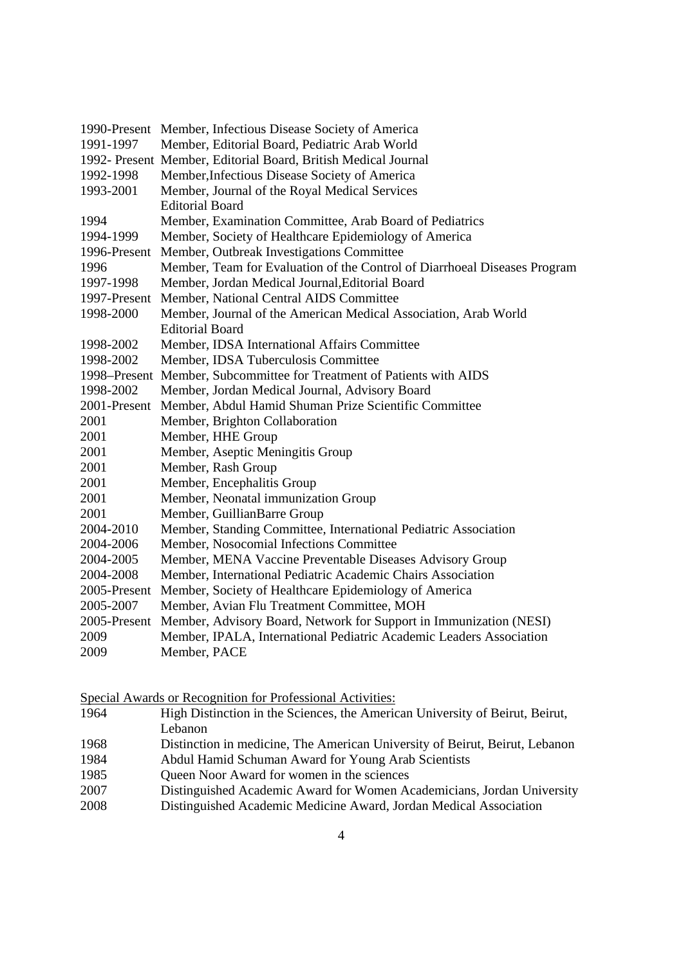|              | 1990-Present Member, Infectious Disease Society of America                |
|--------------|---------------------------------------------------------------------------|
| 1991-1997    | Member, Editorial Board, Pediatric Arab World                             |
|              | 1992- Present Member, Editorial Board, British Medical Journal            |
| 1992-1998    | Member, Infectious Disease Society of America                             |
| 1993-2001    | Member, Journal of the Royal Medical Services                             |
|              | <b>Editorial Board</b>                                                    |
| 1994         | Member, Examination Committee, Arab Board of Pediatrics                   |
| 1994-1999    | Member, Society of Healthcare Epidemiology of America                     |
| 1996-Present | Member, Outbreak Investigations Committee                                 |
| 1996         | Member, Team for Evaluation of the Control of Diarrhoeal Diseases Program |
| 1997-1998    | Member, Jordan Medical Journal, Editorial Board                           |
| 1997-Present | Member, National Central AIDS Committee                                   |
| 1998-2000    | Member, Journal of the American Medical Association, Arab World           |
|              | <b>Editorial Board</b>                                                    |
| 1998-2002    | Member, IDSA International Affairs Committee                              |
| 1998-2002    | Member, IDSA Tuberculosis Committee                                       |
|              | 1998–Present Member, Subcommittee for Treatment of Patients with AIDS     |
| 1998-2002    | Member, Jordan Medical Journal, Advisory Board                            |
| 2001-Present | Member, Abdul Hamid Shuman Prize Scientific Committee                     |
| 2001         | Member, Brighton Collaboration                                            |
| 2001         | Member, HHE Group                                                         |
| 2001         | Member, Aseptic Meningitis Group                                          |
| 2001         | Member, Rash Group                                                        |
| 2001         | Member, Encephalitis Group                                                |
| 2001         | Member, Neonatal immunization Group                                       |
| 2001         | Member, GuillianBarre Group                                               |
| 2004-2010    | Member, Standing Committee, International Pediatric Association           |
| 2004-2006    | Member, Nosocomial Infections Committee                                   |
| 2004-2005    | Member, MENA Vaccine Preventable Diseases Advisory Group                  |
| 2004-2008    | Member, International Pediatric Academic Chairs Association               |
| 2005-Present | Member, Society of Healthcare Epidemiology of America                     |
| 2005-2007    | Member, Avian Flu Treatment Committee, MOH                                |
| 2005-Present | Member, Advisory Board, Network for Support in Immunization (NESI)        |
| 2009         | Member, IPALA, International Pediatric Academic Leaders Association       |
| 2009         | Member, PACE                                                              |

Special Awards or Recognition for Professional Activities:

- 1964 High Distinction in the Sciences, the American University of Beirut, Beirut, Lebanon
- 1968 Distinction in medicine, The American University of Beirut, Beirut, Lebanon
- 1984 Abdul Hamid Schuman Award for Young Arab Scientists
- 1985 Queen Noor Award for women in the sciences
- 2007 Distinguished Academic Award for Women Academicians, Jordan University
- 2008 Distinguished Academic Medicine Award, Jordan Medical Association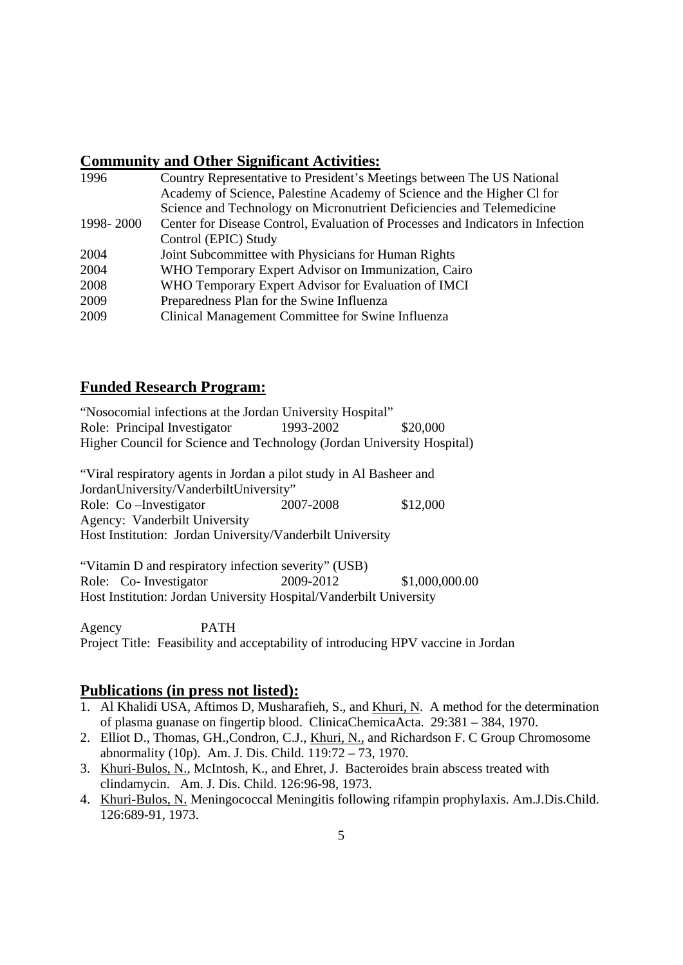## **Community and Other Significant Activities:**

| 1996      | Country Representative to President's Meetings between The US National          |
|-----------|---------------------------------------------------------------------------------|
|           | Academy of Science, Palestine Academy of Science and the Higher CI for          |
|           | Science and Technology on Micronutrient Deficiencies and Telemedicine           |
| 1998-2000 | Center for Disease Control, Evaluation of Processes and Indicators in Infection |
|           | Control (EPIC) Study                                                            |
| 2004      | Joint Subcommittee with Physicians for Human Rights                             |
| 2004      | WHO Temporary Expert Advisor on Immunization, Cairo                             |
| 2008      | WHO Temporary Expert Advisor for Evaluation of IMCI                             |
| 2009      | Preparedness Plan for the Swine Influenza                                       |
| 2009      | Clinical Management Committee for Swine Influenza                               |

## **Funded Research Program:**

"Nosocomial infections at the Jordan University Hospital" Role: Principal Investigator 1993-2002 \$20,000 Higher Council for Science and Technology (Jordan University Hospital)

"Viral respiratory agents in Jordan a pilot study in Al Basheer and JordanUniversity/VanderbiltUniversity" Role: Co –Investigator 2007-2008 \$12,000 Agency: Vanderbilt University Host Institution: Jordan University/Vanderbilt University

"Vitamin D and respiratory infection severity" (USB) Role: Co- Investigator 2009-2012 \$1,000,000.00 Host Institution: Jordan University Hospital/Vanderbilt University

Agency PATH Project Title: Feasibility and acceptability of introducing HPV vaccine in Jordan

## **Publications (in press not listed):**

- 1. Al Khalidi USA, Aftimos D, Musharafieh, S., and Khuri, N. A method for the determination of plasma guanase on fingertip blood. ClinicaChemicaActa. 29:381 – 384, 1970.
- 2. Elliot D., Thomas, GH.,Condron, C.J., Khuri, N., and Richardson F. C Group Chromosome abnormality (10p). Am. J. Dis. Child. 119:72 – 73, 1970.
- 3. Khuri-Bulos, N., McIntosh, K., and Ehret, J. Bacteroides brain abscess treated with clindamycin. Am. J. Dis. Child. 126:96-98, 1973.
- 4. Khuri-Bulos, N. Meningococcal Meningitis following rifampin prophylaxis. Am.J.Dis.Child. 126:689-91, 1973.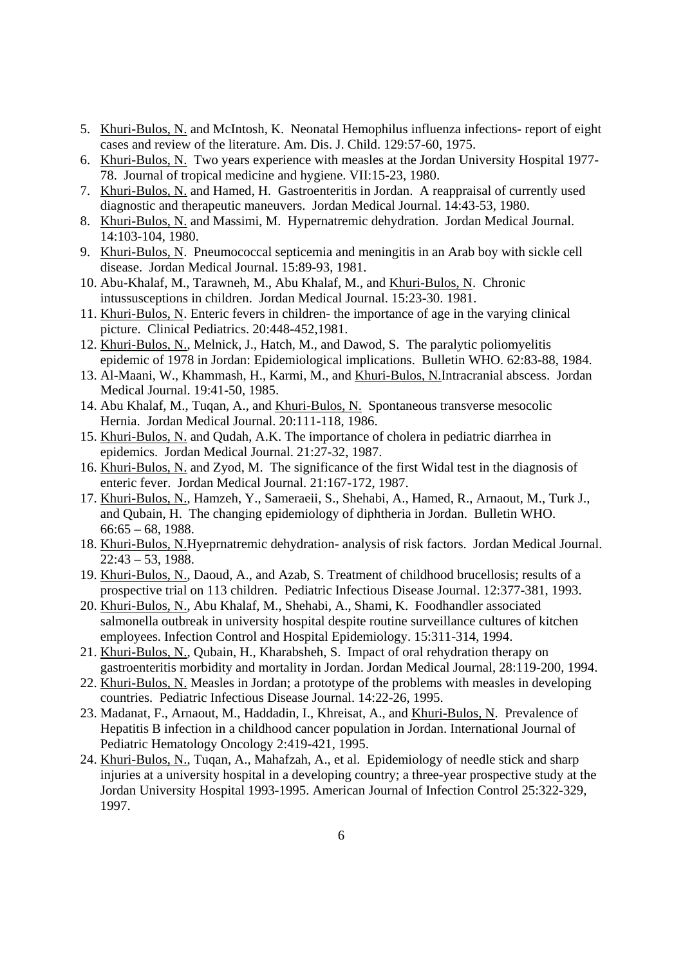- 5. Khuri-Bulos, N. and McIntosh, K. Neonatal Hemophilus influenza infections- report of eight cases and review of the literature. Am. Dis. J. Child. 129:57-60, 1975.
- 6. Khuri-Bulos, N. Two years experience with measles at the Jordan University Hospital 1977- 78. Journal of tropical medicine and hygiene. VII:15-23, 1980.
- 7. Khuri-Bulos, N. and Hamed, H. Gastroenteritis in Jordan. A reappraisal of currently used diagnostic and therapeutic maneuvers. Jordan Medical Journal. 14:43-53, 1980.
- 8. Khuri-Bulos, N. and Massimi, M. Hypernatremic dehydration. Jordan Medical Journal. 14:103-104, 1980.
- 9. Khuri-Bulos, N. Pneumococcal septicemia and meningitis in an Arab boy with sickle cell disease. Jordan Medical Journal. 15:89-93, 1981.
- 10. Abu-Khalaf, M., Tarawneh, M., Abu Khalaf, M., and Khuri-Bulos, N. Chronic intussusceptions in children. Jordan Medical Journal. 15:23-30. 1981.
- 11. Khuri-Bulos, N. Enteric fevers in children- the importance of age in the varying clinical picture. Clinical Pediatrics. 20:448-452,1981.
- 12. Khuri-Bulos, N., Melnick, J., Hatch, M., and Dawod, S. The paralytic poliomyelitis epidemic of 1978 in Jordan: Epidemiological implications. Bulletin WHO. 62:83-88, 1984.
- 13. Al-Maani, W., Khammash, H., Karmi, M., and Khuri-Bulos, N.Intracranial abscess. Jordan Medical Journal. 19:41-50, 1985.
- 14. Abu Khalaf, M., Tuqan, A., and Khuri-Bulos, N. Spontaneous transverse mesocolic Hernia. Jordan Medical Journal. 20:111-118, 1986.
- 15. Khuri-Bulos, N. and Qudah, A.K. The importance of cholera in pediatric diarrhea in epidemics. Jordan Medical Journal. 21:27-32, 1987.
- 16. Khuri-Bulos, N. and Zyod, M. The significance of the first Widal test in the diagnosis of enteric fever. Jordan Medical Journal. 21:167-172, 1987.
- 17. Khuri-Bulos, N., Hamzeh, Y., Sameraeii, S., Shehabi, A., Hamed, R., Arnaout, M., Turk J., and Qubain, H. The changing epidemiology of diphtheria in Jordan. Bulletin WHO. 66:65 – 68, 1988.
- 18. Khuri-Bulos, N.Hyeprnatremic dehydration- analysis of risk factors. Jordan Medical Journal.  $22:43 - 53, 1988.$
- 19. Khuri-Bulos, N., Daoud, A., and Azab, S. Treatment of childhood brucellosis; results of a prospective trial on 113 children. Pediatric Infectious Disease Journal. 12:377-381, 1993.
- 20. Khuri-Bulos, N., Abu Khalaf, M., Shehabi, A., Shami, K. Foodhandler associated salmonella outbreak in university hospital despite routine surveillance cultures of kitchen employees. Infection Control and Hospital Epidemiology. 15:311-314, 1994.
- 21. Khuri-Bulos, N., Qubain, H., Kharabsheh, S. Impact of oral rehydration therapy on gastroenteritis morbidity and mortality in Jordan. Jordan Medical Journal, 28:119-200, 1994.
- 22. Khuri-Bulos, N. Measles in Jordan; a prototype of the problems with measles in developing countries. Pediatric Infectious Disease Journal. 14:22-26, 1995.
- 23. Madanat, F., Arnaout, M., Haddadin, I., Khreisat, A., and Khuri-Bulos, N. Prevalence of Hepatitis B infection in a childhood cancer population in Jordan. International Journal of Pediatric Hematology Oncology 2:419-421, 1995.
- 24. Khuri-Bulos, N., Tuqan, A., Mahafzah, A., et al. Epidemiology of needle stick and sharp injuries at a university hospital in a developing country; a three-year prospective study at the Jordan University Hospital 1993-1995. American Journal of Infection Control 25:322-329, 1997.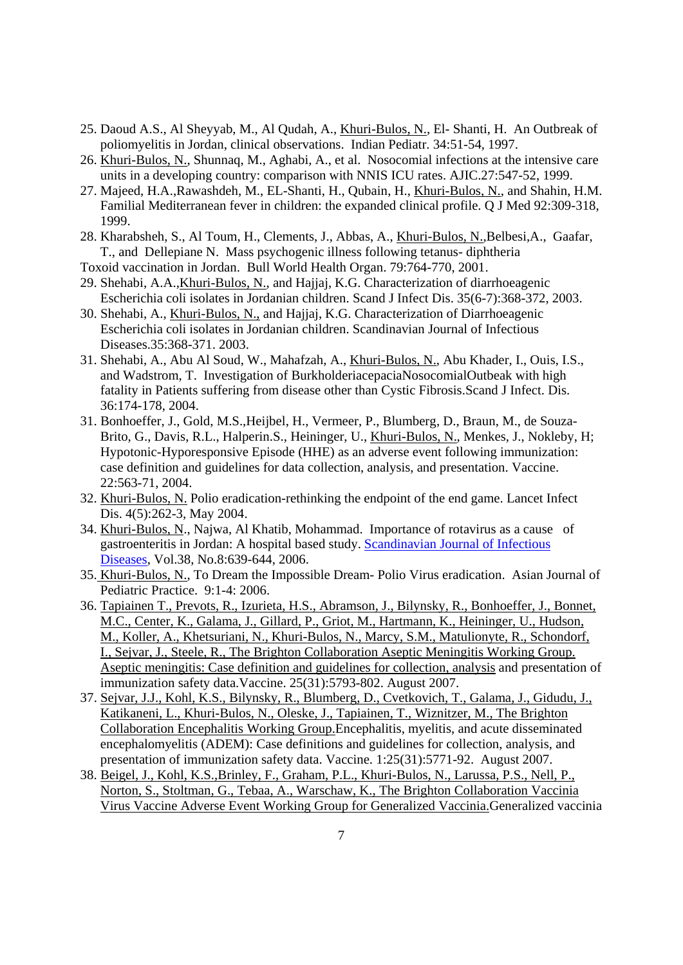- 25. Daoud A.S., Al Sheyyab, M., Al Qudah, A., Khuri-Bulos, N., El- Shanti, H. An Outbreak of poliomyelitis in Jordan, clinical observations. Indian Pediatr. 34:51-54, 1997.
- 26. Khuri-Bulos, N., Shunnaq, M., Aghabi, A., et al. Nosocomial infections at the intensive care units in a developing country: comparison with NNIS ICU rates. AJIC.27:547-52, 1999.
- 27. Majeed, H.A.,Rawashdeh, M., EL-Shanti, H., Qubain, H., Khuri-Bulos, N., and Shahin, H.M. Familial Mediterranean fever in children: the expanded clinical profile. Q J Med 92:309-318, 1999.
- 28. Kharabsheh, S., Al Toum, H., Clements, J., Abbas, A., Khuri-Bulos, N.,Belbesi,A., Gaafar, T., and Dellepiane N. Mass psychogenic illness following tetanus- diphtheria
- Toxoid vaccination in Jordan. Bull World Health Organ. 79:764-770, 2001.
- 29. Shehabi, A.A.,Khuri-Bulos, N., and Hajjaj, K.G. Characterization of diarrhoeagenic Escherichia coli isolates in Jordanian children. Scand J Infect Dis. 35(6-7):368-372, 2003.
- 30. Shehabi, A., Khuri-Bulos, N., and Hajjaj, K.G. Characterization of Diarrhoeagenic Escherichia coli isolates in Jordanian children. Scandinavian Journal of Infectious Diseases.35:368-371. 2003.
- 31. Shehabi, A., Abu Al Soud, W., Mahafzah, A., Khuri-Bulos, N., Abu Khader, I., Ouis, I.S., and Wadstrom, T. Investigation of BurkholderiacepaciaNosocomialOutbeak with high fatality in Patients suffering from disease other than Cystic Fibrosis.Scand J Infect. Dis. 36:174-178, 2004.
- 31. Bonhoeffer, J., Gold, M.S.,Heijbel, H., Vermeer, P., Blumberg, D., Braun, M., de Souza-Brito, G., Davis, R.L., Halperin.S., Heininger, U., Khuri-Bulos, N., Menkes, J., Nokleby, H; Hypotonic-Hyporesponsive Episode (HHE) as an adverse event following immunization: case definition and guidelines for data collection, analysis, and presentation. Vaccine. 22:563-71, 2004.
- 32. Khuri-Bulos, N. Polio eradication-rethinking the endpoint of the end game. Lancet Infect Dis. 4(5):262-3, May 2004.
- 34. Khuri-Bulos, N., Najwa, Al Khatib, Mohammad. Importance of rotavirus as a cause of gastroenteritis in Jordan: A hospital based study. Scandinavian Journal of Infectious Diseases, Vol.38, No.8:639-644, 2006.
- 35. Khuri-Bulos, N., To Dream the Impossible Dream- Polio Virus eradication. Asian Journal of Pediatric Practice. 9:1-4: 2006.
- 36. Tapiainen T., Prevots, R., Izurieta, H.S., Abramson, J., Bilynsky, R., Bonhoeffer, J., Bonnet, M.C., Center, K., Galama, J., Gillard, P., Griot, M., Hartmann, K., Heininger, U., Hudson, M., Koller, A., Khetsuriani, N., Khuri-Bulos, N., Marcy, S.M., Matulionyte, R., Schondorf, I., Sejvar, J., Steele, R., The Brighton Collaboration Aseptic Meningitis Working Group. Aseptic meningitis: Case definition and guidelines for collection, analysis and presentation of immunization safety data.Vaccine. 25(31):5793-802. August 2007.
- 37. Sejvar, J.J., Kohl, K.S., Bilynsky, R., Blumberg, D., Cvetkovich, T., Galama, J., Gidudu, J., Katikaneni, L., Khuri-Bulos, N., Oleske, J., Tapiainen, T., Wiznitzer, M., The Brighton Collaboration Encephalitis Working Group.Encephalitis, myelitis, and acute disseminated encephalomyelitis (ADEM): Case definitions and guidelines for collection, analysis, and presentation of immunization safety data. Vaccine. 1:25(31):5771-92. August 2007.
- 38. Beigel, J., Kohl, K.S.,Brinley, F., Graham, P.L., Khuri-Bulos, N., Larussa, P.S., Nell, P., Norton, S., Stoltman, G., Tebaa, A., Warschaw, K., The Brighton Collaboration Vaccinia Virus Vaccine Adverse Event Working Group for Generalized Vaccinia.Generalized vaccinia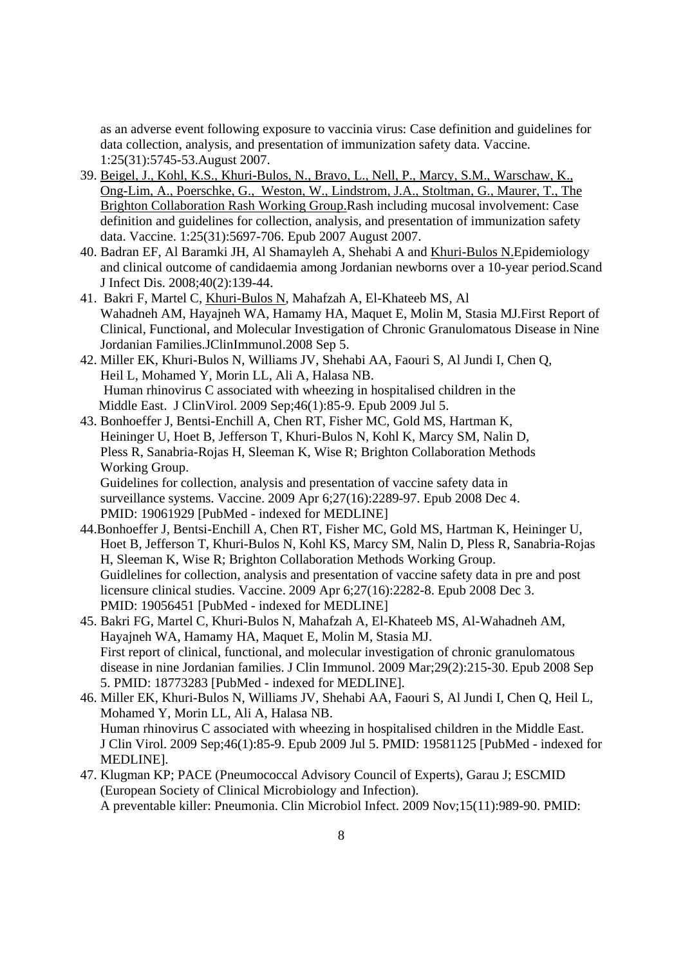as an adverse event following exposure to vaccinia virus: Case definition and guidelines for data collection, analysis, and presentation of immunization safety data. Vaccine. 1:25(31):5745-53.August 2007.

- 39. Beigel, J., Kohl, K.S., Khuri-Bulos, N., Bravo, L., Nell, P., Marcy, S.M., Warschaw, K., Ong-Lim, A., Poerschke, G., Weston, W., Lindstrom, J.A., Stoltman, G., Maurer, T., The Brighton Collaboration Rash Working Group.Rash including mucosal involvement: Case definition and guidelines for collection, analysis, and presentation of immunization safety data. Vaccine. 1:25(31):5697-706. Epub 2007 August 2007.
- 40. Badran EF, Al Baramki JH, Al Shamayleh A, Shehabi A and Khuri-Bulos N.Epidemiology and clinical outcome of candidaemia among Jordanian newborns over a 10-year period.Scand J Infect Dis. 2008;40(2):139-44.
- 41. Bakri F, Martel C, Khuri-Bulos N, Mahafzah A, El-Khateeb MS, Al Wahadneh AM, Hayajneh WA, Hamamy HA, Maquet E, Molin M, Stasia MJ.First Report of Clinical, Functional, and Molecular Investigation of Chronic Granulomatous Disease in Nine Jordanian Families.JClinImmunol.2008 Sep 5.
- 42. Miller EK, Khuri-Bulos N, Williams JV, Shehabi AA, Faouri S, Al Jundi I, Chen Q, Heil L, Mohamed Y, Morin LL, Ali A, Halasa NB. Human rhinovirus C associated with wheezing in hospitalised children in the Middle East. J ClinVirol. 2009 Sep;46(1):85-9. Epub 2009 Jul 5.
- 43. Bonhoeffer J, Bentsi-Enchill A, Chen RT, Fisher MC, Gold MS, Hartman K, Heininger U, Hoet B, Jefferson T, Khuri-Bulos N, Kohl K, Marcy SM, Nalin D, Pless R, Sanabria-Rojas H, Sleeman K, Wise R; Brighton Collaboration Methods Working Group. Guidelines for collection, analysis and presentation of vaccine safety data in

 surveillance systems. Vaccine. 2009 Apr 6;27(16):2289-97. Epub 2008 Dec 4. PMID: 19061929 [PubMed - indexed for MEDLINE]

- 44.Bonhoeffer J, Bentsi-Enchill A, Chen RT, Fisher MC, Gold MS, Hartman K, Heininger U, Hoet B, Jefferson T, Khuri-Bulos N, Kohl KS, Marcy SM, Nalin D, Pless R, Sanabria-Rojas H, Sleeman K, Wise R; Brighton Collaboration Methods Working Group. Guidlelines for collection, analysis and presentation of vaccine safety data in pre and post licensure clinical studies. Vaccine. 2009 Apr 6;27(16):2282-8. Epub 2008 Dec 3. PMID: 19056451 [PubMed - indexed for MEDLINE]
- 45. Bakri FG, Martel C, Khuri-Bulos N, Mahafzah A, El-Khateeb MS, Al-Wahadneh AM, Hayajneh WA, Hamamy HA, Maquet E, Molin M, Stasia MJ. First report of clinical, functional, and molecular investigation of chronic granulomatous disease in nine Jordanian families. J Clin Immunol. 2009 Mar;29(2):215-30. Epub 2008 Sep 5. PMID: 18773283 [PubMed - indexed for MEDLINE].
- 46. Miller EK, Khuri-Bulos N, Williams JV, Shehabi AA, Faouri S, Al Jundi I, Chen Q, Heil L, Mohamed Y, Morin LL, Ali A, Halasa NB. Human rhinovirus C associated with wheezing in hospitalised children in the Middle East. J Clin Virol. 2009 Sep;46(1):85-9. Epub 2009 Jul 5. PMID: 19581125 [PubMed - indexed for MEDLINE].
- 47. Klugman KP; PACE (Pneumococcal Advisory Council of Experts), Garau J; ESCMID (European Society of Clinical Microbiology and Infection). A preventable killer: Pneumonia. Clin Microbiol Infect. 2009 Nov;15(11):989-90. PMID: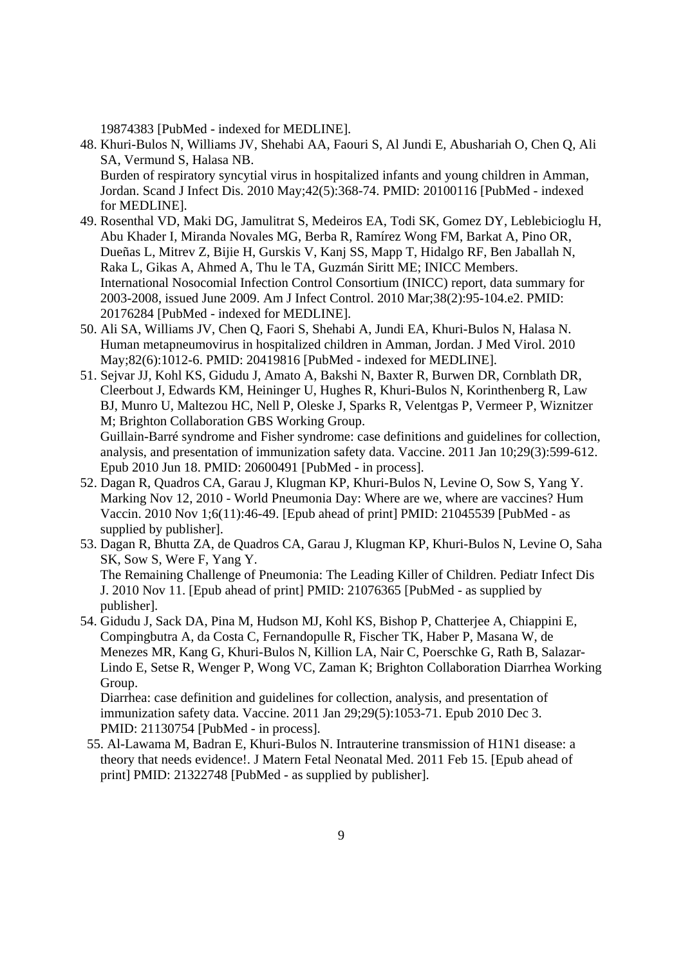19874383 [PubMed - indexed for MEDLINE].

- 48. Khuri-Bulos N, Williams JV, Shehabi AA, Faouri S, Al Jundi E, Abushariah O, Chen Q, Ali SA, Vermund S, Halasa NB. Burden of respiratory syncytial virus in hospitalized infants and young children in Amman, Jordan. Scand J Infect Dis. 2010 May;42(5):368-74. PMID: 20100116 [PubMed - indexed for MEDLINE].
- 49. Rosenthal VD, Maki DG, Jamulitrat S, Medeiros EA, Todi SK, Gomez DY, Leblebicioglu H, Abu Khader I, Miranda Novales MG, Berba R, Ramírez Wong FM, Barkat A, Pino OR, Dueñas L, Mitrev Z, Bijie H, Gurskis V, Kanj SS, Mapp T, Hidalgo RF, Ben Jaballah N, Raka L, Gikas A, Ahmed A, Thu le TA, Guzmán Siritt ME; INICC Members. International Nosocomial Infection Control Consortium (INICC) report, data summary for 2003-2008, issued June 2009. Am J Infect Control. 2010 Mar;38(2):95-104.e2. PMID: 20176284 [PubMed - indexed for MEDLINE].
- 50. Ali SA, Williams JV, Chen Q, Faori S, Shehabi A, Jundi EA, Khuri-Bulos N, Halasa N. Human metapneumovirus in hospitalized children in Amman, Jordan. J Med Virol. 2010 May;82(6):1012-6. PMID: 20419816 [PubMed - indexed for MEDLINE].
- 51. Sejvar JJ, Kohl KS, Gidudu J, Amato A, Bakshi N, Baxter R, Burwen DR, Cornblath DR, Cleerbout J, Edwards KM, Heininger U, Hughes R, Khuri-Bulos N, Korinthenberg R, Law BJ, Munro U, Maltezou HC, Nell P, Oleske J, Sparks R, Velentgas P, Vermeer P, Wiznitzer M; Brighton Collaboration GBS Working Group. Guillain-Barré syndrome and Fisher syndrome: case definitions and guidelines for collection, analysis, and presentation of immunization safety data. Vaccine. 2011 Jan 10;29(3):599-612. Epub 2010 Jun 18. PMID: 20600491 [PubMed - in process].
- 52. Dagan R, Quadros CA, Garau J, Klugman KP, Khuri-Bulos N, Levine O, Sow S, Yang Y. Marking Nov 12, 2010 - World Pneumonia Day: Where are we, where are vaccines? Hum Vaccin. 2010 Nov 1;6(11):46-49. [Epub ahead of print] PMID: 21045539 [PubMed - as supplied by publisher].
- 53. Dagan R, Bhutta ZA, de Quadros CA, Garau J, Klugman KP, Khuri-Bulos N, Levine O, Saha SK, Sow S, Were F, Yang Y. The Remaining Challenge of Pneumonia: The Leading Killer of Children. Pediatr Infect Dis J. 2010 Nov 11. [Epub ahead of print] PMID: 21076365 [PubMed - as supplied by publisher].

54. Gidudu J, Sack DA, Pina M, Hudson MJ, Kohl KS, Bishop P, Chatterjee A, Chiappini E, Compingbutra A, da Costa C, Fernandopulle R, Fischer TK, Haber P, Masana W, de Menezes MR, Kang G, Khuri-Bulos N, Killion LA, Nair C, Poerschke G, Rath B, Salazar-Lindo E, Setse R, Wenger P, Wong VC, Zaman K; Brighton Collaboration Diarrhea Working Group. Diarrhea: case definition and guidelines for collection, analysis, and presentation of

immunization safety data. Vaccine. 2011 Jan 29;29(5):1053-71. Epub 2010 Dec 3. PMID: 21130754 [PubMed - in process].

55. Al-Lawama M, Badran E, Khuri-Bulos N. Intrauterine transmission of H1N1 disease: a theory that needs evidence!. J Matern Fetal Neonatal Med. 2011 Feb 15. [Epub ahead of print] PMID: 21322748 [PubMed - as supplied by publisher].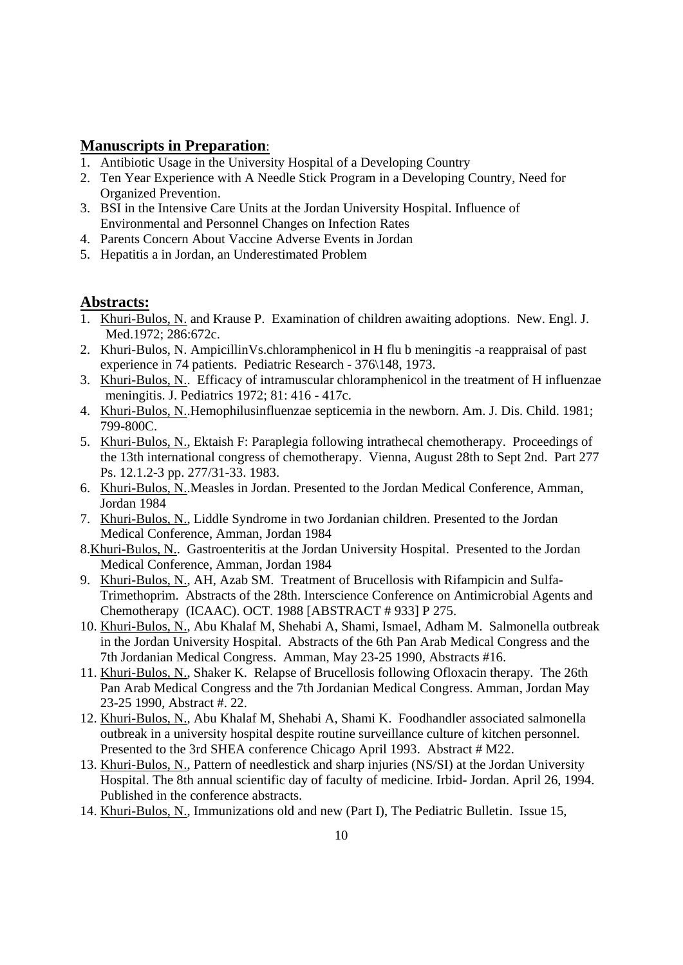## **Manuscripts in Preparation**:

- 1. Antibiotic Usage in the University Hospital of a Developing Country
- 2. Ten Year Experience with A Needle Stick Program in a Developing Country, Need for Organized Prevention.
- 3. BSI in the Intensive Care Units at the Jordan University Hospital. Influence of Environmental and Personnel Changes on Infection Rates
- 4. Parents Concern About Vaccine Adverse Events in Jordan
- 5. Hepatitis a in Jordan, an Underestimated Problem

## **Abstracts:**

- 1. Khuri-Bulos, N. and Krause P. Examination of children awaiting adoptions. New. Engl. J. Med.1972; 286:672c.
- 2. Khuri-Bulos, N. AmpicillinVs.chloramphenicol in H flu b meningitis -a reappraisal of past experience in 74 patients. Pediatric Research - 376\148, 1973.
- 3. Khuri-Bulos, N.. Efficacy of intramuscular chloramphenicol in the treatment of H influenzae meningitis. J. Pediatrics 1972; 81: 416 - 417c.
- 4. Khuri-Bulos, N..Hemophilusinfluenzae septicemia in the newborn. Am. J. Dis. Child. 1981; 799-800C.
- 5. Khuri-Bulos, N., Ektaish F: Paraplegia following intrathecal chemotherapy. Proceedings of the 13th international congress of chemotherapy. Vienna, August 28th to Sept 2nd. Part 277 Ps. 12.1.2-3 pp. 277/31-33. 1983.
- 6. Khuri-Bulos, N..Measles in Jordan. Presented to the Jordan Medical Conference, Amman, Jordan 1984
- 7. Khuri-Bulos, N., Liddle Syndrome in two Jordanian children. Presented to the Jordan Medical Conference, Amman, Jordan 1984
- 8.Khuri-Bulos, N.. Gastroenteritis at the Jordan University Hospital. Presented to the Jordan Medical Conference, Amman, Jordan 1984
- 9. Khuri-Bulos, N., AH, Azab SM. Treatment of Brucellosis with Rifampicin and Sulfa-Trimethoprim. Abstracts of the 28th. Interscience Conference on Antimicrobial Agents and Chemotherapy (ICAAC). OCT. 1988 [ABSTRACT # 933] P 275.
- 10. Khuri-Bulos, N., Abu Khalaf M, Shehabi A, Shami, Ismael, Adham M. Salmonella outbreak in the Jordan University Hospital. Abstracts of the 6th Pan Arab Medical Congress and the 7th Jordanian Medical Congress. Amman, May 23-25 1990, Abstracts #16.
- 11. Khuri-Bulos, N., Shaker K. Relapse of Brucellosis following Ofloxacin therapy. The 26th Pan Arab Medical Congress and the 7th Jordanian Medical Congress. Amman, Jordan May 23-25 1990, Abstract #. 22.
- 12. Khuri-Bulos, N., Abu Khalaf M, Shehabi A, Shami K. Foodhandler associated salmonella outbreak in a university hospital despite routine surveillance culture of kitchen personnel. Presented to the 3rd SHEA conference Chicago April 1993. Abstract # M22.
- 13. Khuri-Bulos, N., Pattern of needlestick and sharp injuries (NS/SI) at the Jordan University Hospital. The 8th annual scientific day of faculty of medicine. Irbid- Jordan. April 26, 1994. Published in the conference abstracts.
- 14. Khuri-Bulos, N., Immunizations old and new (Part I), The Pediatric Bulletin. Issue 15,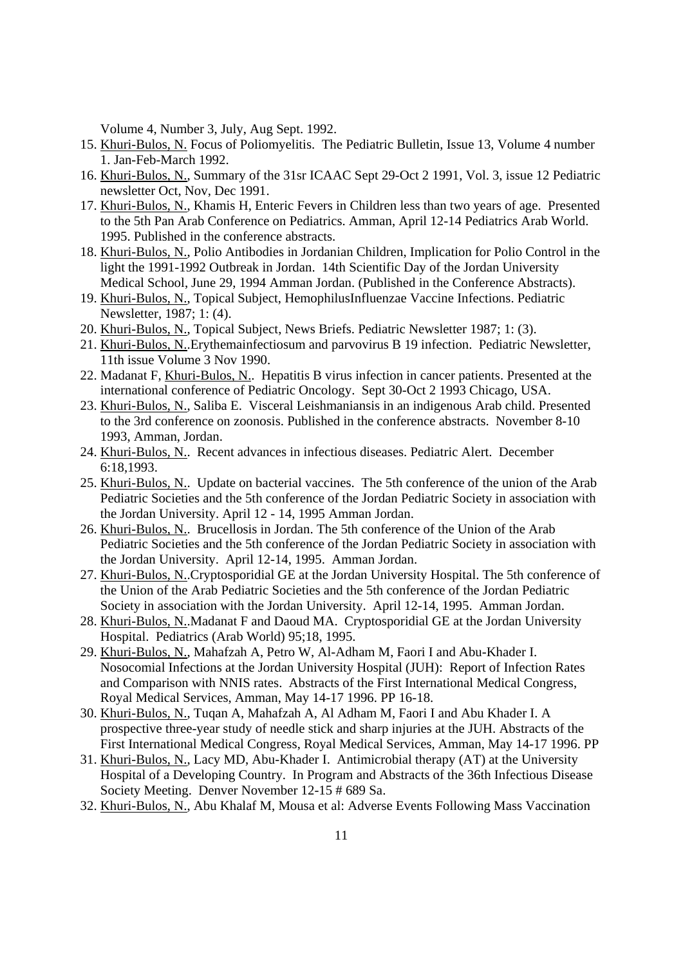Volume 4, Number 3, July, Aug Sept. 1992.

- 15. Khuri-Bulos, N. Focus of Poliomyelitis. The Pediatric Bulletin, Issue 13, Volume 4 number 1. Jan-Feb-March 1992.
- 16. Khuri-Bulos, N., Summary of the 31sr ICAAC Sept 29-Oct 2 1991, Vol. 3, issue 12 Pediatric newsletter Oct, Nov, Dec 1991.
- 17. Khuri-Bulos, N., Khamis H, Enteric Fevers in Children less than two years of age. Presented to the 5th Pan Arab Conference on Pediatrics. Amman, April 12-14 Pediatrics Arab World. 1995. Published in the conference abstracts.
- 18. Khuri-Bulos, N., Polio Antibodies in Jordanian Children, Implication for Polio Control in the light the 1991-1992 Outbreak in Jordan. 14th Scientific Day of the Jordan University Medical School, June 29, 1994 Amman Jordan. (Published in the Conference Abstracts).
- 19. Khuri-Bulos, N., Topical Subject, HemophilusInfluenzae Vaccine Infections. Pediatric Newsletter, 1987; 1: (4).
- 20. Khuri-Bulos, N., Topical Subject, News Briefs. Pediatric Newsletter 1987; 1: (3).
- 21. Khuri-Bulos, N..Erythemainfectiosum and parvovirus B 19 infection. Pediatric Newsletter, 11th issue Volume 3 Nov 1990.
- 22. Madanat F, Khuri-Bulos, N.. Hepatitis B virus infection in cancer patients. Presented at the international conference of Pediatric Oncology. Sept 30-Oct 2 1993 Chicago, USA.
- 23. Khuri-Bulos, N., Saliba E. Visceral Leishmaniansis in an indigenous Arab child. Presented to the 3rd conference on zoonosis. Published in the conference abstracts. November 8-10 1993, Amman, Jordan.
- 24. Khuri-Bulos, N.. Recent advances in infectious diseases. Pediatric Alert. December 6:18,1993.
- 25. Khuri-Bulos, N.. Update on bacterial vaccines. The 5th conference of the union of the Arab Pediatric Societies and the 5th conference of the Jordan Pediatric Society in association with the Jordan University. April 12 - 14, 1995 Amman Jordan.
- 26. Khuri-Bulos, N.. Brucellosis in Jordan. The 5th conference of the Union of the Arab Pediatric Societies and the 5th conference of the Jordan Pediatric Society in association with the Jordan University. April 12-14, 1995. Amman Jordan.
- 27. Khuri-Bulos, N..Cryptosporidial GE at the Jordan University Hospital. The 5th conference of the Union of the Arab Pediatric Societies and the 5th conference of the Jordan Pediatric Society in association with the Jordan University. April 12-14, 1995. Amman Jordan.
- 28. Khuri-Bulos, N..Madanat F and Daoud MA. Cryptosporidial GE at the Jordan University Hospital. Pediatrics (Arab World) 95;18, 1995.
- 29. Khuri-Bulos, N., Mahafzah A, Petro W, Al-Adham M, Faori I and Abu-Khader I. Nosocomial Infections at the Jordan University Hospital (JUH): Report of Infection Rates and Comparison with NNIS rates. Abstracts of the First International Medical Congress, Royal Medical Services, Amman, May 14-17 1996. PP 16-18.
- 30. Khuri-Bulos, N., Tuqan A, Mahafzah A, Al Adham M, Faori I and Abu Khader I. A prospective three-year study of needle stick and sharp injuries at the JUH. Abstracts of the First International Medical Congress, Royal Medical Services, Amman, May 14-17 1996. PP
- 31. Khuri-Bulos, N., Lacy MD, Abu-Khader I. Antimicrobial therapy (AT) at the University Hospital of a Developing Country. In Program and Abstracts of the 36th Infectious Disease Society Meeting. Denver November 12-15 # 689 Sa.
- 32. Khuri-Bulos, N., Abu Khalaf M, Mousa et al: Adverse Events Following Mass Vaccination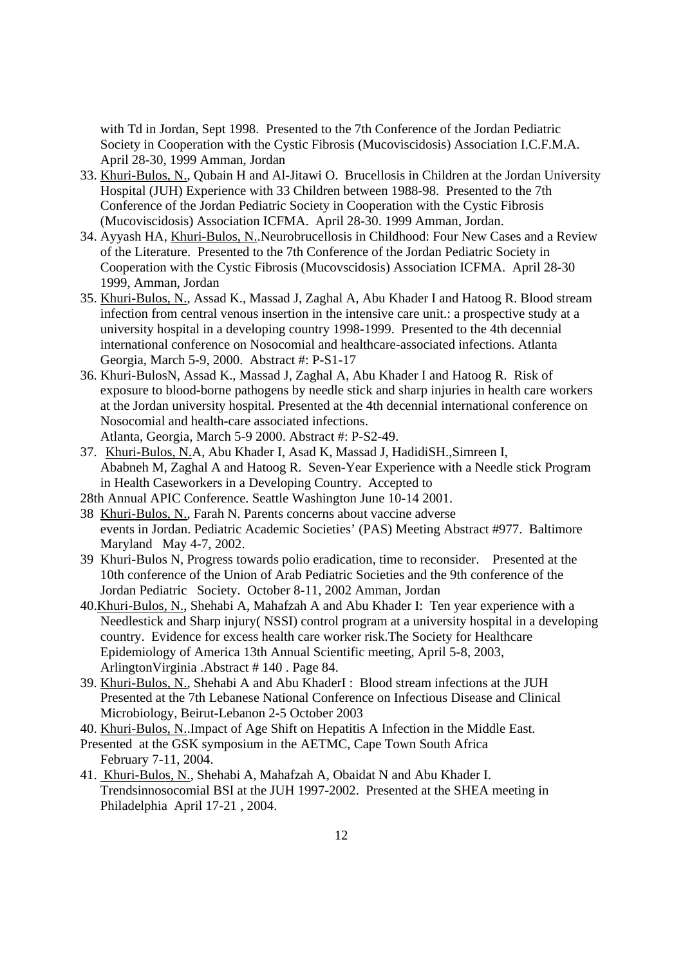with Td in Jordan, Sept 1998. Presented to the 7th Conference of the Jordan Pediatric Society in Cooperation with the Cystic Fibrosis (Mucoviscidosis) Association I.C.F.M.A. April 28-30, 1999 Amman, Jordan

- 33. Khuri-Bulos, N., Qubain H and Al-Jitawi O. Brucellosis in Children at the Jordan University Hospital (JUH) Experience with 33 Children between 1988-98. Presented to the 7th Conference of the Jordan Pediatric Society in Cooperation with the Cystic Fibrosis (Mucoviscidosis) Association ICFMA. April 28-30. 1999 Amman, Jordan.
- 34. Ayyash HA, Khuri-Bulos, N..Neurobrucellosis in Childhood: Four New Cases and a Review of the Literature. Presented to the 7th Conference of the Jordan Pediatric Society in Cooperation with the Cystic Fibrosis (Mucovscidosis) Association ICFMA. April 28-30 1999, Amman, Jordan
- 35. Khuri-Bulos, N., Assad K., Massad J, Zaghal A, Abu Khader I and Hatoog R. Blood stream infection from central venous insertion in the intensive care unit.: a prospective study at a university hospital in a developing country 1998-1999. Presented to the 4th decennial international conference on Nosocomial and healthcare-associated infections. Atlanta Georgia, March 5-9, 2000. Abstract #: P-S1-17
- 36. Khuri-BulosN, Assad K., Massad J, Zaghal A, Abu Khader I and Hatoog R. Risk of exposure to blood-borne pathogens by needle stick and sharp injuries in health care workers at the Jordan university hospital. Presented at the 4th decennial international conference on Nosocomial and health-care associated infections. Atlanta, Georgia, March 5-9 2000. Abstract #: P-S2-49.
- 37. Khuri-Bulos, N.A, Abu Khader I, Asad K, Massad J, HadidiSH.,Simreen I, Ababneh M, Zaghal A and Hatoog R. Seven-Year Experience with a Needle stick Program in Health Caseworkers in a Developing Country. Accepted to
- 28th Annual APIC Conference. Seattle Washington June 10-14 2001.
- 38 Khuri-Bulos, N., Farah N. Parents concerns about vaccine adverse events in Jordan. Pediatric Academic Societies' (PAS) Meeting Abstract #977. Baltimore Maryland May 4-7, 2002.
- 39 Khuri-Bulos N, Progress towards polio eradication, time to reconsider. Presented at the 10th conference of the Union of Arab Pediatric Societies and the 9th conference of the Jordan Pediatric Society. October 8-11, 2002 Amman, Jordan
- 40.Khuri-Bulos, N., Shehabi A, Mahafzah A and Abu Khader I: Ten year experience with a Needlestick and Sharp injury( NSSI) control program at a university hospital in a developing country. Evidence for excess health care worker risk.The Society for Healthcare Epidemiology of America 13th Annual Scientific meeting, April 5-8, 2003, ArlingtonVirginia .Abstract # 140 . Page 84.
- 39. Khuri-Bulos, N., Shehabi A and Abu KhaderI : Blood stream infections at the JUH Presented at the 7th Lebanese National Conference on Infectious Disease and Clinical Microbiology, Beirut-Lebanon 2-5 October 2003
- 40. Khuri-Bulos, N..Impact of Age Shift on Hepatitis A Infection in the Middle East.
- Presented at the GSK symposium in the AETMC, Cape Town South Africa February 7-11, 2004.
- 41. Khuri-Bulos, N., Shehabi A, Mahafzah A, Obaidat N and Abu Khader I. Trendsinnosocomial BSI at the JUH 1997-2002. Presented at the SHEA meeting in Philadelphia April 17-21 , 2004.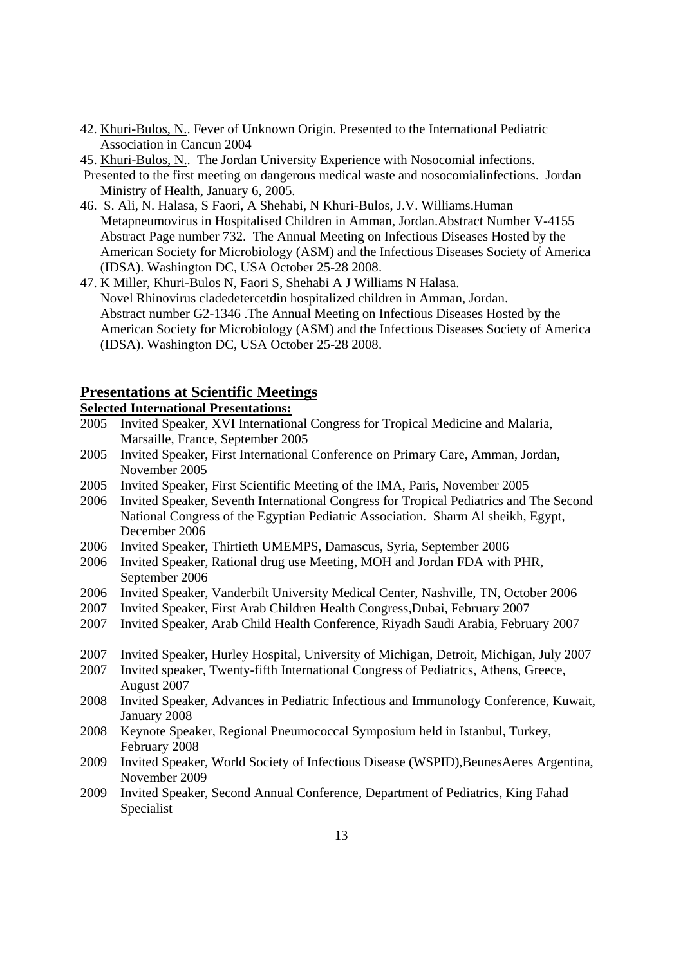- 42. Khuri-Bulos, N.. Fever of Unknown Origin. Presented to the International Pediatric Association in Cancun 2004
- 45. Khuri-Bulos, N.. The Jordan University Experience with Nosocomial infections.
- Presented to the first meeting on dangerous medical waste and nosocomialinfections. Jordan Ministry of Health, January 6, 2005.
- 46. S. Ali, N. Halasa, S Faori, A Shehabi, N Khuri-Bulos, J.V. Williams.Human Metapneumovirus in Hospitalised Children in Amman, Jordan.Abstract Number V-4155 Abstract Page number 732. The Annual Meeting on Infectious Diseases Hosted by the American Society for Microbiology (ASM) and the Infectious Diseases Society of America (IDSA). Washington DC, USA October 25-28 2008.
- 47. K Miller, Khuri-Bulos N, Faori S, Shehabi A J Williams N Halasa. Novel Rhinovirus cladedetercetdin hospitalized children in Amman, Jordan. Abstract number G2-1346 .The Annual Meeting on Infectious Diseases Hosted by the American Society for Microbiology (ASM) and the Infectious Diseases Society of America (IDSA). Washington DC, USA October 25-28 2008.

#### **Presentations at Scientific Meetings**

### **Selected International Presentations:**

- 2005 Invited Speaker, XVI International Congress for Tropical Medicine and Malaria, Marsaille, France, September 2005
- 2005 Invited Speaker, First International Conference on Primary Care, Amman, Jordan, November 2005
- 2005 Invited Speaker, First Scientific Meeting of the IMA, Paris, November 2005
- 2006 Invited Speaker, Seventh International Congress for Tropical Pediatrics and The Second National Congress of the Egyptian Pediatric Association. Sharm Al sheikh, Egypt, December 2006
- 2006 Invited Speaker, Thirtieth UMEMPS, Damascus, Syria, September 2006
- 2006 Invited Speaker, Rational drug use Meeting, MOH and Jordan FDA with PHR, September 2006
- 2006 Invited Speaker, Vanderbilt University Medical Center, Nashville, TN, October 2006
- 2007 Invited Speaker, First Arab Children Health Congress,Dubai, February 2007
- 2007 Invited Speaker, Arab Child Health Conference, Riyadh Saudi Arabia, February 2007
- 2007 Invited Speaker, Hurley Hospital, University of Michigan, Detroit, Michigan, July 2007
- 2007 Invited speaker, Twenty-fifth International Congress of Pediatrics, Athens, Greece, August 2007
- 2008 Invited Speaker, Advances in Pediatric Infectious and Immunology Conference, Kuwait, January 2008
- 2008 Keynote Speaker, Regional Pneumococcal Symposium held in Istanbul, Turkey, February 2008
- 2009 Invited Speaker, World Society of Infectious Disease (WSPID),BeunesAeres Argentina, November 2009
- 2009 Invited Speaker, Second Annual Conference, Department of Pediatrics, King Fahad Specialist